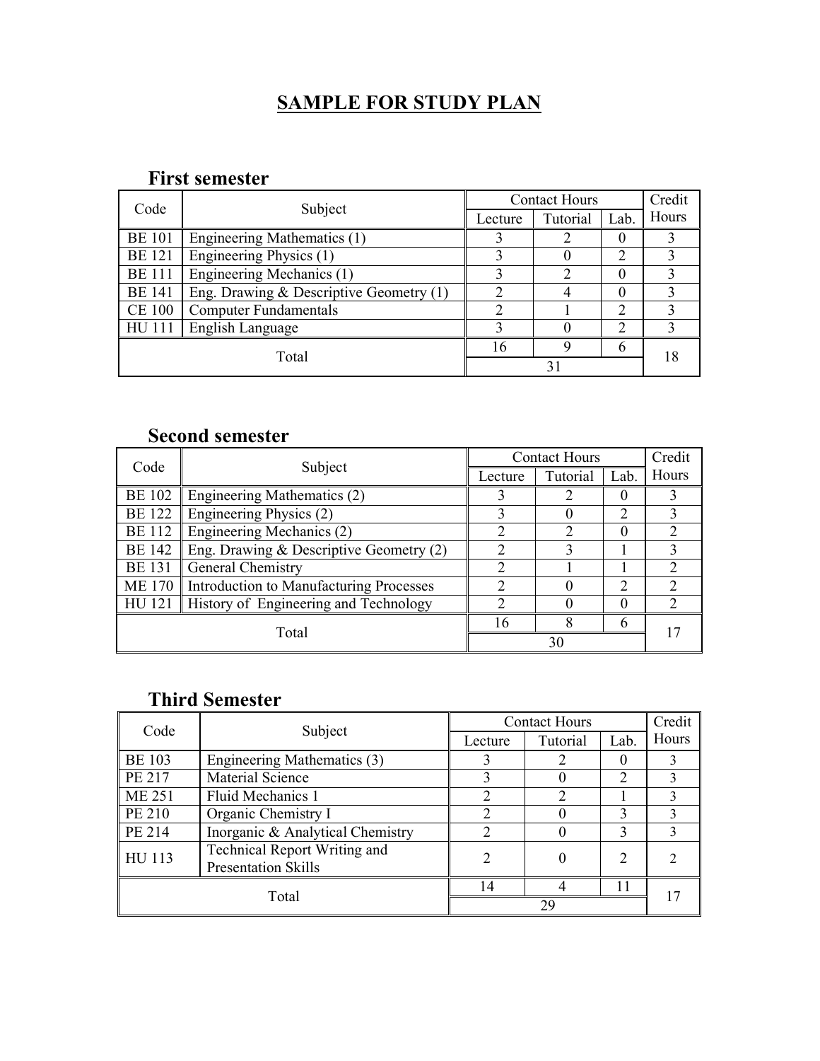## SAMPLE FOR STUDY PLAN

#### First semester

| Code          |                                           |         | <b>Contact Hours</b> | Credit |       |  |
|---------------|-------------------------------------------|---------|----------------------|--------|-------|--|
|               | Subject                                   | Lecture | Tutorial             | Lab.   | Hours |  |
| <b>BE 101</b> | Engineering Mathematics (1)               |         |                      |        |       |  |
| <b>BE</b> 121 | Engineering Physics $(1)$                 |         |                      |        |       |  |
| <b>BE</b> 111 | Engineering Mechanics (1)                 |         | $\mathcal{D}$        |        |       |  |
| <b>BE 141</b> | Eng. Drawing $&$ Descriptive Geometry (1) |         |                      |        |       |  |
| <b>CE 100</b> | <b>Computer Fundamentals</b>              |         |                      |        |       |  |
| HU 111        | English Language                          |         |                      |        |       |  |
|               |                                           | 16      |                      |        |       |  |
|               | Total                                     |         |                      |        |       |  |

#### Second semester

| Code          |                                              |         | <b>Contact Hours</b> | Credit        |       |
|---------------|----------------------------------------------|---------|----------------------|---------------|-------|
|               | Subject                                      | Lecture | Tutorial             | Lab.          | Hours |
| <b>BE 102</b> | Engineering Mathematics (2)                  |         |                      |               |       |
| <b>BE</b> 122 | Engineering Physics (2)                      |         |                      | $\mathcal{D}$ |       |
| <b>BE</b> 112 | Engineering Mechanics (2)                    |         | າ                    | $\theta$      |       |
| <b>BE 142</b> | Eng. Drawing $&$ Descriptive Geometry (2)    | ∍       |                      |               |       |
| <b>BE</b> 131 | General Chemistry                            |         |                      |               |       |
| <b>ME 170</b> | Introduction to Manufacturing Processes      | ↑       |                      | ∍             |       |
|               | HU 121 History of Engineering and Technology |         |                      | $\theta$      |       |
|               |                                              | 16      | 8                    | 6             |       |
|               | Total                                        | 30      |                      |               |       |

### Third Semester

| Code          | Subject                          | <b>Contact Hours</b> |          | Credit |       |
|---------------|----------------------------------|----------------------|----------|--------|-------|
|               |                                  | Lecture              | Tutorial | Lab.   | Hours |
| <b>BE 103</b> | Engineering Mathematics (3)      |                      |          |        |       |
| PE 217        | Material Science                 |                      |          |        |       |
| <b>ME 251</b> | Fluid Mechanics 1                |                      |          |        |       |
| PE 210        | Organic Chemistry I              | ◠                    |          |        |       |
| PE 214        | Inorganic & Analytical Chemistry |                      |          |        |       |
| <b>HU 113</b> | Technical Report Writing and     |                      |          |        |       |
|               | <b>Presentation Skills</b>       |                      |          |        |       |
| Total         |                                  | 14                   |          |        |       |
|               |                                  |                      | 29       |        |       |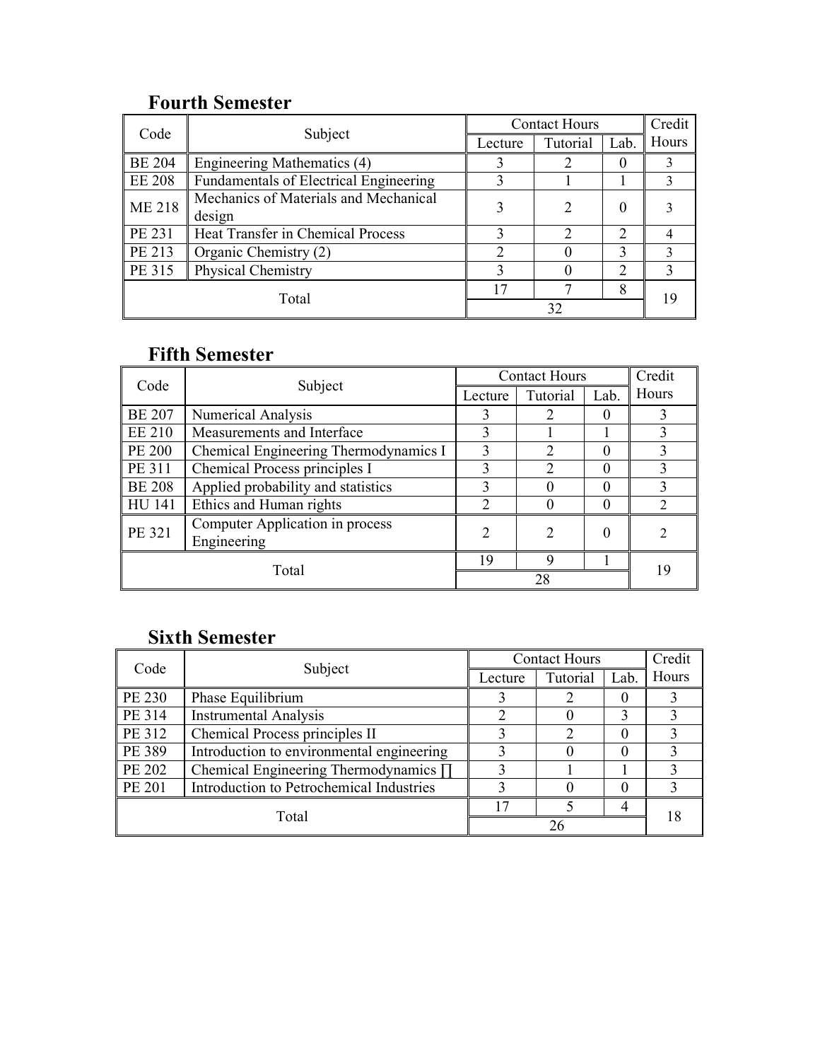### Fourth Semester

| Code          |                                               | <b>Contact Hours</b> |                             |                | Credit |  |
|---------------|-----------------------------------------------|----------------------|-----------------------------|----------------|--------|--|
|               | Subject                                       | Lecture              | Tutorial                    | Lab.           | Hours  |  |
| <b>BE 204</b> | Engineering Mathematics (4)                   |                      |                             |                |        |  |
| <b>EE 208</b> | <b>Fundamentals of Electrical Engineering</b> |                      |                             |                | 3      |  |
| <b>ME 218</b> | Mechanics of Materials and Mechanical         |                      |                             | 0              |        |  |
|               | design                                        |                      |                             |                |        |  |
| PE 231        | Heat Transfer in Chemical Process             |                      | $\mathcal{D}_{\mathcal{L}}$ | $\mathcal{D}$  |        |  |
| PE 213        | Organic Chemistry (2)                         | ∍                    |                             |                | 3      |  |
| PE 315        | <b>Physical Chemistry</b>                     |                      |                             | $\mathfrak{D}$ | 3      |  |
|               |                                               |                      |                             | 8              | 19     |  |
|               | Total                                         | 32                   |                             |                |        |  |

#### Fifth Semester

| Code          |                                       | <b>Contact Hours</b>        |                             | Credit   |       |
|---------------|---------------------------------------|-----------------------------|-----------------------------|----------|-------|
|               | Subject                               | Lecture                     | Tutorial                    | Lab.     | Hours |
| <b>BE 207</b> | Numerical Analysis                    | 3                           | 2                           |          | 3     |
| EE 210        | Measurements and Interface            | 3                           |                             |          | 3     |
| <b>PE 200</b> | Chemical Engineering Thermodynamics I | 3                           | $\mathcal{D}_{\mathcal{L}}$ |          | 3     |
| PE 311        | Chemical Process principles I         | 3                           | $\mathcal{D}$               |          | 3     |
| <b>BE 208</b> | Applied probability and statistics    | 3                           | $\theta$                    |          | 3     |
| <b>HU 141</b> | Ethics and Human rights               | $\mathcal{P}$               |                             |          | 2     |
| PE 321        | Computer Application in process       | $\mathcal{D}_{\mathcal{L}}$ | $\mathcal{D}$               | $\theta$ |       |
|               | Engineering                           |                             |                             |          |       |
|               |                                       | 19                          | Q                           |          | 19    |
|               | Total                                 |                             | 28                          |          |       |

## Sixth Semester

| Code          | Subject                                   | <b>Contact Hours</b> |                 |      | Credit |
|---------------|-------------------------------------------|----------------------|-----------------|------|--------|
|               |                                           | Lecture              | <b>Tutorial</b> | Lab. | Hours  |
| PE 230        | Phase Equilibrium                         |                      |                 |      |        |
| PE 314        | <b>Instrumental Analysis</b>              |                      |                 |      |        |
| PE 312        | Chemical Process principles II            |                      |                 |      |        |
| PE 389        | Introduction to environmental engineering |                      |                 |      |        |
| PE 202        | Chemical Engineering Thermodynamics ∏     |                      |                 |      |        |
| <b>PE 201</b> | Introduction to Petrochemical Industries  |                      |                 |      |        |
| Total         |                                           |                      |                 |      |        |
|               |                                           |                      |                 |      |        |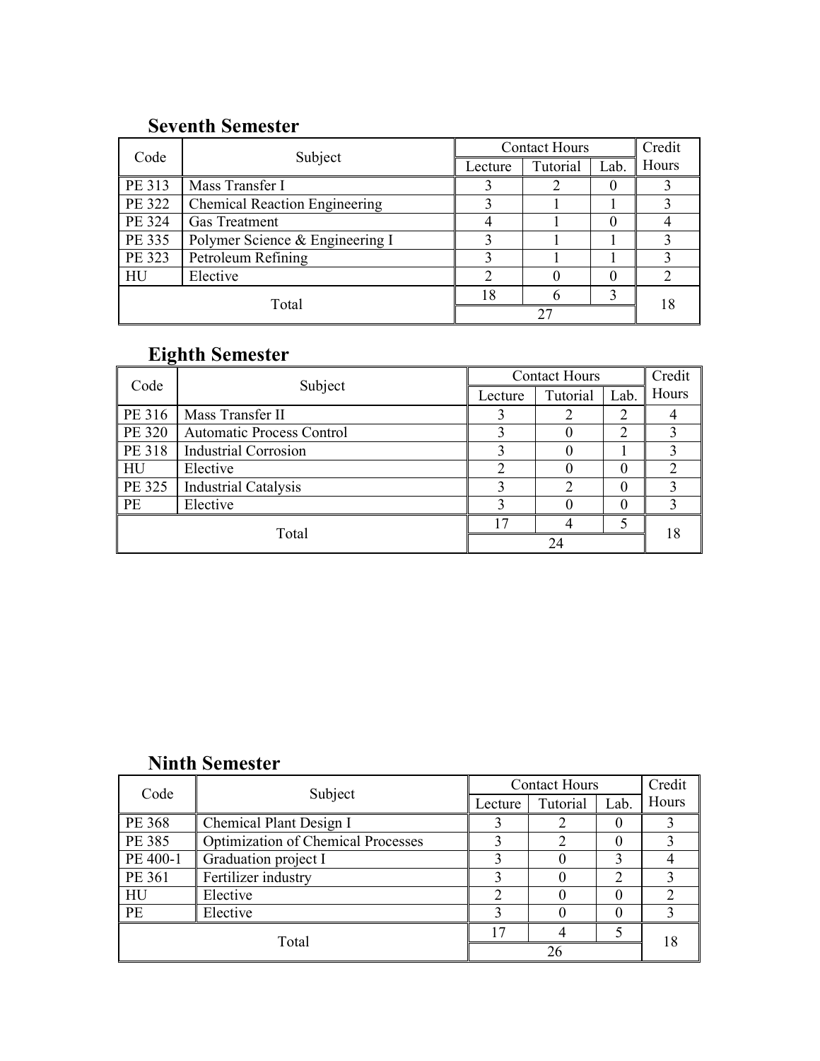### Seventh Semester

| Code   |                                      | <b>Contact Hours</b> |          | Credit |               |
|--------|--------------------------------------|----------------------|----------|--------|---------------|
|        | Subject                              | Lecture              | Tutorial | Lab.   | Hours         |
| PE 313 | Mass Transfer I                      |                      |          | 0      |               |
| PE 322 | <b>Chemical Reaction Engineering</b> |                      |          |        |               |
| PE 324 | <b>Gas Treatment</b>                 |                      |          |        |               |
| PE 335 | Polymer Science & Engineering I      |                      |          |        | 3             |
| PE 323 | Petroleum Refining                   |                      |          |        |               |
| HU     | Elective                             | ↑                    |          | 0      | $\mathcal{D}$ |
| Total  |                                      | 18                   |          |        | 18            |
|        |                                      |                      |          |        |               |

# Eighth Semester

| Code      |                                  | <b>Contact Hours</b> |          |      | Credit |  |
|-----------|----------------------------------|----------------------|----------|------|--------|--|
|           | Subject                          | Lecture              | Tutorial | Lab. | Hours  |  |
| PE 316    | Mass Transfer II                 |                      |          |      |        |  |
| PE 320    | <b>Automatic Process Control</b> |                      |          |      |        |  |
| PE 318    | <b>Industrial Corrosion</b>      |                      |          |      |        |  |
| HU        | Elective                         | ∍                    |          |      |        |  |
| PE 325    | <b>Industrial Catalysis</b>      |                      |          |      |        |  |
| <b>PE</b> | Elective                         |                      |          |      |        |  |
| Total     |                                  | $\overline{ }$       |          |      | 18     |  |
|           |                                  |                      |          |      |        |  |

## Ninth Semester

| Code      |                                           | <b>Contact Hours</b> |          | Credit         |       |  |
|-----------|-------------------------------------------|----------------------|----------|----------------|-------|--|
|           | Subject                                   | Lecture              | Tutorial | Lab.           | Hours |  |
| PE 368    | Chemical Plant Design I                   |                      |          |                |       |  |
| PE 385    | <b>Optimization of Chemical Processes</b> |                      |          |                |       |  |
| PE 400-1  | Graduation project I                      |                      |          |                |       |  |
| PE 361    | Fertilizer industry                       |                      |          | $\overline{2}$ |       |  |
| HU        | Elective                                  | ◠                    |          |                |       |  |
| <b>PE</b> | Elective                                  | ζ                    |          | 0              |       |  |
|           |                                           | $\sqrt{7}$           |          |                |       |  |
|           | Total                                     |                      | 26       |                |       |  |